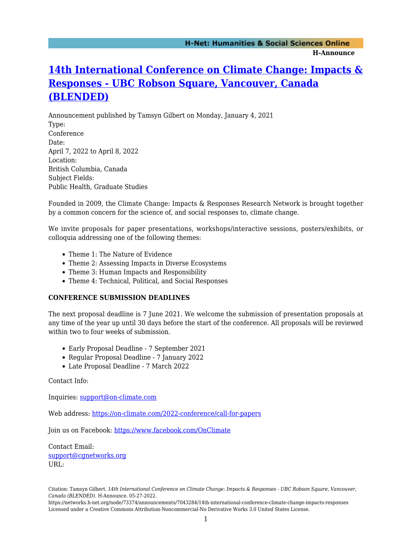## **[14th International Conference on Climate Change: Impacts &](https://networks.h-net.org/node/73374/announcements/7043284/14th-international-conference-climate-change-impacts-responses) [Responses - UBC Robson Square, Vancouver, Canada](https://networks.h-net.org/node/73374/announcements/7043284/14th-international-conference-climate-change-impacts-responses) [\(BLENDED\)](https://networks.h-net.org/node/73374/announcements/7043284/14th-international-conference-climate-change-impacts-responses)**

Announcement published by Tamsyn Gilbert on Monday, January 4, 2021 Type: Conference Date: April 7, 2022 to April 8, 2022 Location: British Columbia, Canada Subject Fields: Public Health, Graduate Studies

Founded in 2009, the Climate Change: Impacts & Responses Research Network is brought together by a common concern for the science of, and social responses to, climate change.

We invite proposals for paper presentations, workshops/interactive sessions, posters/exhibits, or colloquia addressing one of the following themes:

- Theme 1: The Nature of Evidence
- Theme 2: Assessing Impacts in Diverse Ecosystems
- Theme 3: Human Impacts and Responsibility
- Theme 4: Technical, Political, and Social Responses

## **CONFERENCE SUBMISSION DEADLINES**

The next proposal deadline is 7 June 2021. We welcome the submission of presentation proposals at any time of the year up until 30 days before the start of the conference. All proposals will be reviewed within two to four weeks of submission.

- Early Proposal Deadline 7 September 2021
- Regular Proposal Deadline 7 January 2022
- Late Proposal Deadline 7 March 2022

Contact Info:

Inquiries: [support@on-climate.com](mailto:support@on-climate.com)

Web address: <https://on-climate.com/2022-conference/call-for-papers>

Join us on Facebook: <https://www.facebook.com/OnClimate>

Contact Email: [support@cgnetworks.org](mailto:support@cgnetworks.org) URL:

https://networks.h-net.org/node/73374/announcements/7043284/14th-international-conference-climate-change-impacts-responses Licensed under a Creative Commons Attribution-Noncommercial-No Derivative Works 3.0 United States License.

Citation: Tamsyn Gilbert. *14th International Conference on Climate Change: Impacts & Responses - UBC Robson Square, Vancouver, Canada (BLENDED)*. H-Announce. 05-27-2022.